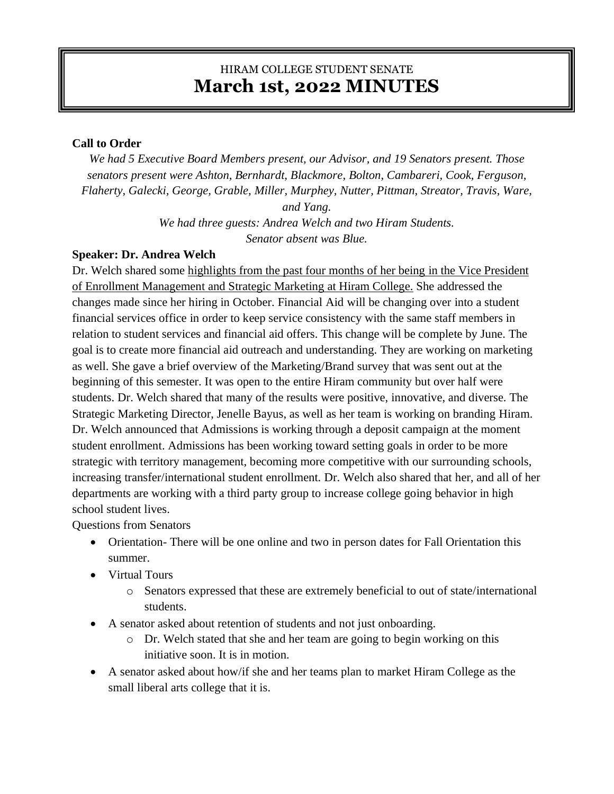# HIRAM COLLEGE STUDENT SENATE **March 1st, 2022 MINUTES**

### **Call to Order**

*We had 5 Executive Board Members present, our Advisor, and 19 Senators present. Those senators present were Ashton, Bernhardt, Blackmore, Bolton, Cambareri, Cook, Ferguson, Flaherty, Galecki, George, Grable, Miller, Murphey, Nutter, Pittman, Streator, Travis, Ware, and Yang. We had three guests: Andrea Welch and two Hiram Students. Senator absent was Blue.*

#### **Speaker: Dr. Andrea Welch**

Dr. Welch shared some highlights from the past four months of her being in the Vice President of Enrollment Management and Strategic Marketing at Hiram College. She addressed the changes made since her hiring in October. Financial Aid will be changing over into a student financial services office in order to keep service consistency with the same staff members in relation to student services and financial aid offers. This change will be complete by June. The goal is to create more financial aid outreach and understanding. They are working on marketing as well. She gave a brief overview of the Marketing/Brand survey that was sent out at the beginning of this semester. It was open to the entire Hiram community but over half were students. Dr. Welch shared that many of the results were positive, innovative, and diverse. The Strategic Marketing Director, Jenelle Bayus, as well as her team is working on branding Hiram. Dr. Welch announced that Admissions is working through a deposit campaign at the moment student enrollment. Admissions has been working toward setting goals in order to be more strategic with territory management, becoming more competitive with our surrounding schools, increasing transfer/international student enrollment. Dr. Welch also shared that her, and all of her departments are working with a third party group to increase college going behavior in high school student lives.

Questions from Senators

- Orientation-There will be one online and two in person dates for Fall Orientation this summer.
- Virtual Tours
	- o Senators expressed that these are extremely beneficial to out of state/international students.
- A senator asked about retention of students and not just onboarding.
	- o Dr. Welch stated that she and her team are going to begin working on this initiative soon. It is in motion.
- A senator asked about how/if she and her teams plan to market Hiram College as the small liberal arts college that it is.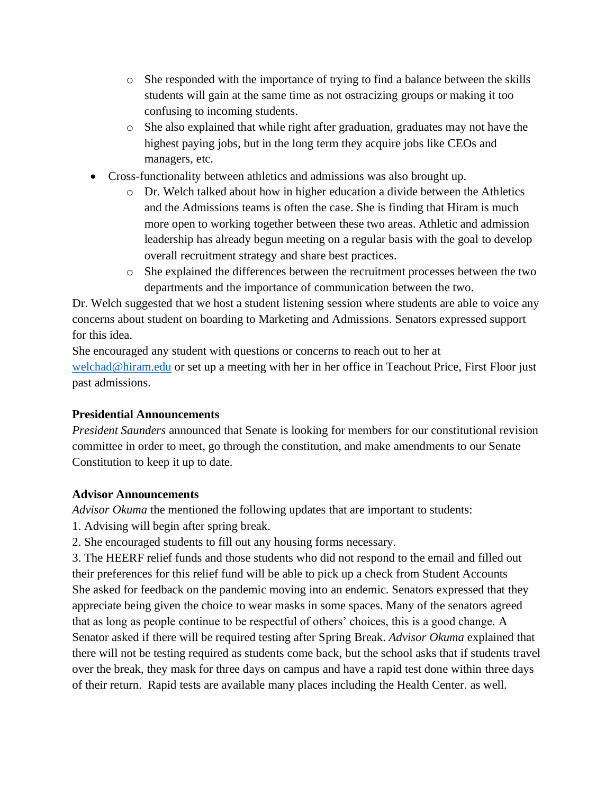- o She responded with the importance of trying to find a balance between the skills students will gain at the same time as not ostracizing groups or making it too confusing to incoming students.
- o She also explained that while right after graduation, graduates may not have the highest paying jobs, but in the long term they acquire jobs like CEOs and managers, etc.
- Cross-functionality between athletics and admissions was also brought up.
	- o Dr. Welch talked about how in higher education a divide between the Athletics and the Admissions teams is often the case. She is finding that Hiram is much more open to working together between these two areas. Athletic and admission leadership has already begun meeting on a regular basis with the goal to develop overall recruitment strategy and share best practices.
	- o She explained the differences between the recruitment processes between the two departments and the importance of communication between the two.

Dr. Welch suggested that we host a student listening session where students are able to voice any concerns about student on boarding to Marketing and Admissions. Senators expressed support for this idea.

She encouraged any student with questions or concerns to reach out to her at [welchad@hiram.edu](mailto:welchad@hiram.edu) or set up a meeting with her in her office in Teachout Price, First Floor just past admissions.

## **Presidential Announcements**

*President Saunders* announced that Senate is looking for members for our constitutional revision committee in order to meet, go through the constitution, and make amendments to our Senate Constitution to keep it up to date.

## **Advisor Announcements**

*Advisor Okuma* the mentioned the following updates that are important to students:

- 1. Advising will begin after spring break.
- 2. She encouraged students to fill out any housing forms necessary.

3. The HEERF relief funds and those students who did not respond to the email and filled out their preferences for this relief fund will be able to pick up a check from Student Accounts She asked for feedback on the pandemic moving into an endemic. Senators expressed that they appreciate being given the choice to wear masks in some spaces. Many of the senators agreed that as long as people continue to be respectful of others' choices, this is a good change. A Senator asked if there will be required testing after Spring Break. *Advisor Okuma* explained that there will not be testing required as students come back, but the school asks that if students travel over the break, they mask for three days on campus and have a rapid test done within three days of their return. Rapid tests are available many places including the Health Center. as well.